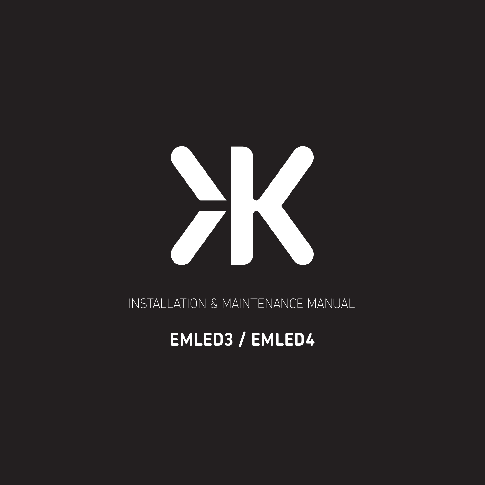

INSTALLATION & MAINTENANCE MANUAL

# **EMLED3 / EMLED4**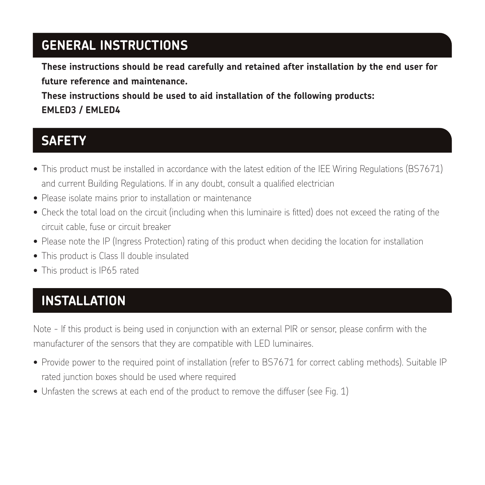### **GENERAL INSTRUCTIONS**

**These instructions should be read carefully and retained after installation by the end user for future reference and maintenance.**

**These instructions should be used to aid installation of the following products: EMLED3 / EMLED4**

#### **SAFETY**

- This product must be installed in accordance with the latest edition of the IEE Wiring Regulations (BS7671) and current Building Regulations. If in any doubt, consult a qualified electrician
- Please isolate mains prior to installation or maintenance
- Check the total load on the circuit (including when this luminaire is fitted) does not exceed the rating of the circuit cable, fuse or circuit breaker
- Please note the IP (Ingress Protection) rating of this product when deciding the location for installation
- This product is Class II double insulated
- This product is IP65 rated

# **INSTALLATION**

Note - If this product is being used in conjunction with an external PIR or sensor, please confirm with the manufacturer of the sensors that they are compatible with LED luminaires.

- Provide power to the required point of installation (refer to BS7671 for correct cabling methods). Suitable IP rated junction boxes should be used where required
- Unfasten the screws at each end of the product to remove the diffuser (see Fig. 1)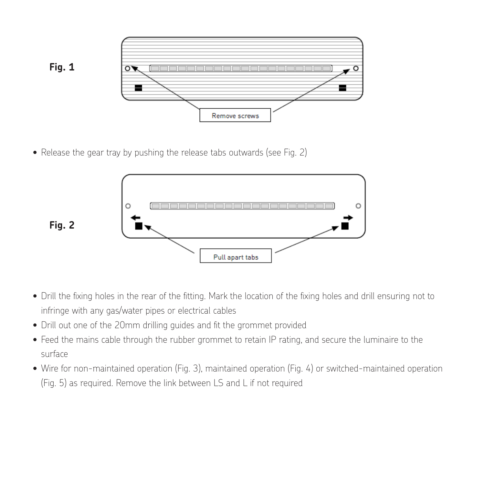

• Release the gear tray by pushing the release tabs outwards (see Fig. 2) • Release the gear tray by pushing the release tabs outwards (see Fig. 2)



- .<br>• Drill the fixing holes in the rear of the fitting. Mark the location of the fixing holes and drill ensuring not to to infringe with any gas for the many gas any discussion of  $1000$  and  $200$  and  $200$  and  $200$  and  $200$  and  $200$  and  $200$  and  $200$  and  $200$  and  $200$  and  $200$ • Drill the fixing holes in the rear of the fitting. Mark the location of the fixing holes and drill ensuring not infringe with any gas/water pipes or electrical cables to infringe with any gas/water pipes or electrical cables
- $\bullet$  Drill out one of the ZUMM aniling guides and fit the grommet provided •Drill out one of the 20mm drilling guides and fit the grommet provided • Drill out one of the 20mm drilling guides and fit the grommet provided
- $\bullet$  Feed the mains cable through the rubber grommet to retain IP rating, and secure the luminaire to the • Wire for non-maintained operation (Fig. 3), maintained operation (Fig. 4) or switched-maintained surface
- surface<br>• Wire for non-maintained operation (Fig. 3), maintained operation (Fig. 4) or switched-maintained operation operation (Fig. 5) as required. Remove the link between LS and L if not required (Fig. 5) as required. Remove the link between LS and L if not required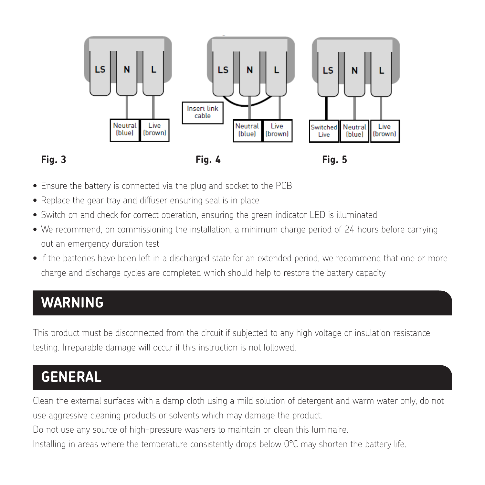

• Ensure the battery is connected via the plug and socket to the PCB • Ensure the battery is connected via the plug and socket to the PCB

testing. Irreparable damage will occur if this instruction is not followed.

- Replace the gear tray and diffuser ensuring seal is in place Replace the gear tray and diffuser ensuring seal is in place
- Switch on and check for correct operation, ensuring the green indicator LED is illuminated  $\bullet$  Switch on and check for correct operation, ensuring the green indicator LED is illuminated
- $\bullet$  We recommend, on commissioning the installation, a minimum charge period of 24 hours before carrying out an emergency duration test in a discharged state for an extended period, we recommend that  $\alpha$ 
	- $\bullet$  If the batteries have been left in a discharged state for an extended period, we recommend that one or more charge and discharge cycles are completed which should help to restore the battery capacity

# **WARNING** This product must be disconnected from the circuit if subjected to any high voltage or insulation resistance

**WARNING**

This product must be disconnected from the circuit if subjected to any high voltage or insulation resistance **GENERAL** testing. Irreparable damage will occur if this instruction is not followed.

#### **GENERAL** use aggressive cleaning products or solvents which may damage the product. Do not use any source of high-pressure washers to maintain or clean this luminaire.

Clean the external surfaces with a damp cloth using a mild solution of detergent and warm water only, do not

use aggressive cleaning products or solvents which may damage the product.

Do not use any source of high-pressure washers to maintain or clean this luminaire.

Installing in areas where the temperature consistently drops below  $0^{\circ}$ C may shorten the battery life.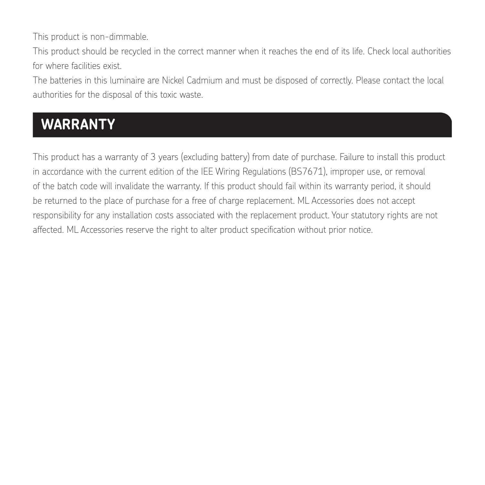This product is non-dimmable.

This product should be recycled in the correct manner when it reaches the end of its life. Check local authorities for where facilities exist.

The batteries in this luminaire are Nickel Cadmium and must be disposed of correctly. Please contact the local authorities for the disposal of this toxic waste.

# **WARRANTY**

This product has a warranty of 3 years (excluding battery) from date of purchase. Failure to install this product in accordance with the current edition of the IEE Wiring Regulations (BS7671), improper use, or removal of the batch code will invalidate the warranty. If this product should fail within its warranty period, it should be returned to the place of purchase for a free of charge replacement. ML Accessories does not accept responsibility for any installation costs associated with the replacement product. Your statutory rights are not affected. ML Accessories reserve the right to alter product specification without prior notice.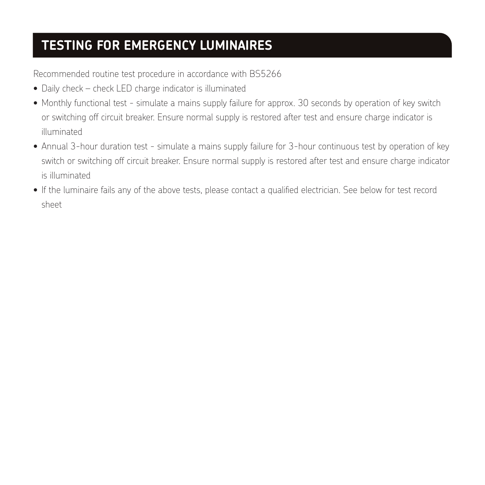## **TESTING FOR EMERGENCY LUMINAIRES**

Recommended routine test procedure in accordance with BS5266

- Daily check check LED charge indicator is illuminated
- Monthly functional test simulate a mains supply failure for approx. 30 seconds by operation of key switch or switching off circuit breaker. Ensure normal supply is restored after test and ensure charge indicator is illuminated
- Annual 3-hour duration test simulate a mains supply failure for 3-hour continuous test by operation of key switch or switching off circuit breaker. Ensure normal supply is restored after test and ensure charge indicator is illuminated
- If the luminaire fails any of the above tests, please contact a qualified electrician. See below for test record sheet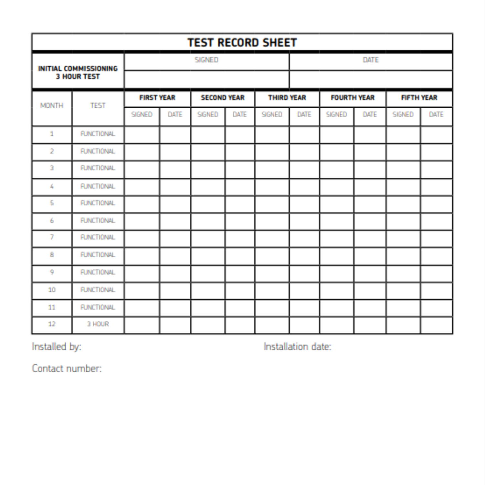| <b>TEST RECORD SHEET</b>                           |                   |                   |      |                    |      |                   |      |                    |      |                   |      |
|----------------------------------------------------|-------------------|-------------------|------|--------------------|------|-------------------|------|--------------------|------|-------------------|------|
| <b>INITIAL COMMISSIONING</b><br><b>3 HOUR TEST</b> |                   | <b>SIGNED</b>     |      |                    |      |                   | DATE |                    |      |                   |      |
|                                                    |                   |                   |      |                    |      |                   |      |                    |      |                   |      |
| <b>MONTH</b>                                       | <b>TEST</b>       | <b>FIRST YEAR</b> |      | <b>SECOND YEAR</b> |      | <b>THIRD YEAR</b> |      | <b>FOURTH YEAR</b> |      | <b>FIFTH YEAR</b> |      |
|                                                    |                   | SIGNED            | DATE | SIGNED             | DATE | SIGNED            | DATE | <b>SIGNED</b>      | DATE | <b>SIGNED</b>     | DATE |
| 1                                                  | <b>FUNCTIONAL</b> |                   |      |                    |      |                   |      |                    |      |                   |      |
| $\overline{2}$                                     | <b>FUNCTIONAL</b> |                   |      |                    |      |                   |      |                    |      |                   |      |
| 3                                                  | <b>FUNCTIONAL</b> |                   |      |                    |      |                   |      |                    |      |                   |      |
| 4                                                  | <b>FUNCTIONAL</b> |                   |      |                    |      |                   |      |                    |      |                   |      |
| 5                                                  | <b>FUNCTIONAL</b> |                   |      |                    |      |                   |      |                    |      |                   |      |
| 6                                                  | <b>FUNCTIONAL</b> |                   |      |                    |      |                   |      |                    |      |                   |      |
| 7                                                  | <b>FUNCTIONAL</b> |                   |      |                    |      |                   |      |                    |      |                   |      |
| 8                                                  | <b>FUNCTIONAL</b> |                   |      |                    |      |                   |      |                    |      |                   |      |
| 9                                                  | <b>FUNCTIONAL</b> |                   |      |                    |      |                   |      |                    |      |                   |      |
| 10                                                 | <b>FUNCTIONAL</b> |                   |      |                    |      |                   |      |                    |      |                   |      |
| 11                                                 | <b>FUNCTIONAL</b> |                   |      |                    |      |                   |      |                    |      |                   |      |
| 12                                                 | 3 HOUR            |                   |      |                    |      |                   |      |                    |      |                   |      |

Installed by:

Installation date:

Contact number: